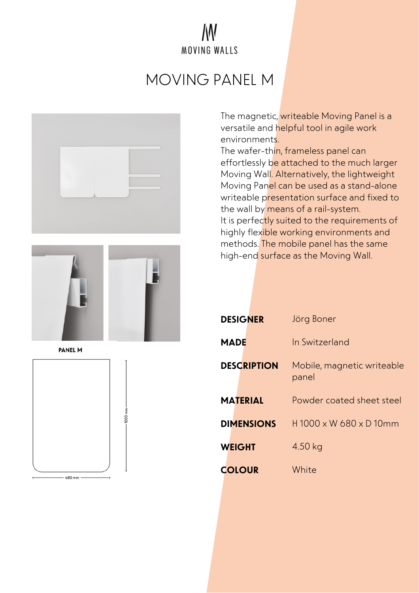#### W MOVING WALLS

# MOVING PANEL M





**PANEL M** 



The magnetic, writeable Moving Panel is a versatile and helpful tool in agile work environments.

The wafer-thin, frameless panel can effortlessly be attached to the much larger Moving Wall. Alternatively, the lightweight Moving Panel can be used as a stand-alone writeable presentation surface and fixed to the wall by means of a rail-system. It is perfectly suited to the requirements of highly flexible working environments and methods. The mobile panel has the same high-end surface as the Moving Wall.

| <b>DESIGNER</b>    | Jörg Boner                          |
|--------------------|-------------------------------------|
| MADE               | In Switzerland                      |
| <b>DESCRIPTION</b> | Mobile, magnetic writeable<br>panel |
| <b>MATERIAL</b>    | Powder coated sheet steel           |
| <b>DIMENSIONS</b>  | $H1000 \times W680 \times D10mm$    |
| <b>WEIGHT</b>      | 4.50 kg                             |
| <b>COLOUR</b>      | White                               |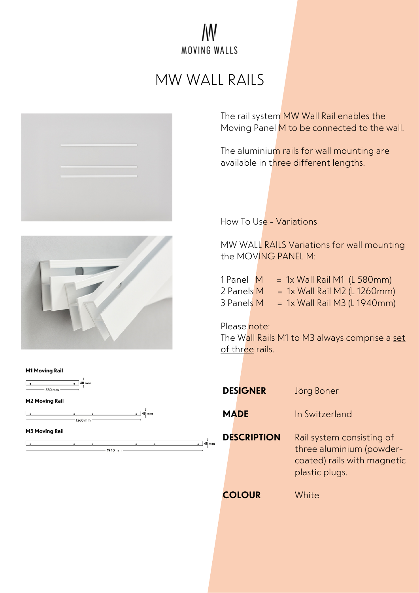### W MOVING WALLS

## MW WALL RAILS







The rail system MW Wall Rail enables the Moving Panel M to be connected to the wall.

The aluminium rails for wall mounting are available in three different lengths.

How To Use - Variations

MW WALL RAILS Variations for wall mounting the MOVING PANEL M:

| 1 Panel M  |  | $= 1x$ Wall Rail M1 (L 580mm)  |
|------------|--|--------------------------------|
| 2 Panels M |  | $= 1x$ Wall Rail M2 (L 1260mm) |
| 3 Panels M |  | $= 1x$ Wall Rail M3 (L 1940mm) |

Please note:

The Wall Rails M1 to M3 always comprise a set of three rails.

| <b>DESIGNER</b><br><b>MADE</b> | Jörg Boner<br>In Switzerland                                                         |
|--------------------------------|--------------------------------------------------------------------------------------|
| <b>DESCRIPTION</b>             | Rail system consisting of<br>three aluminium (powder-<br>coated) rails with magnetic |
| <b>COLOUR</b>                  | plastic plugs.<br>White                                                              |